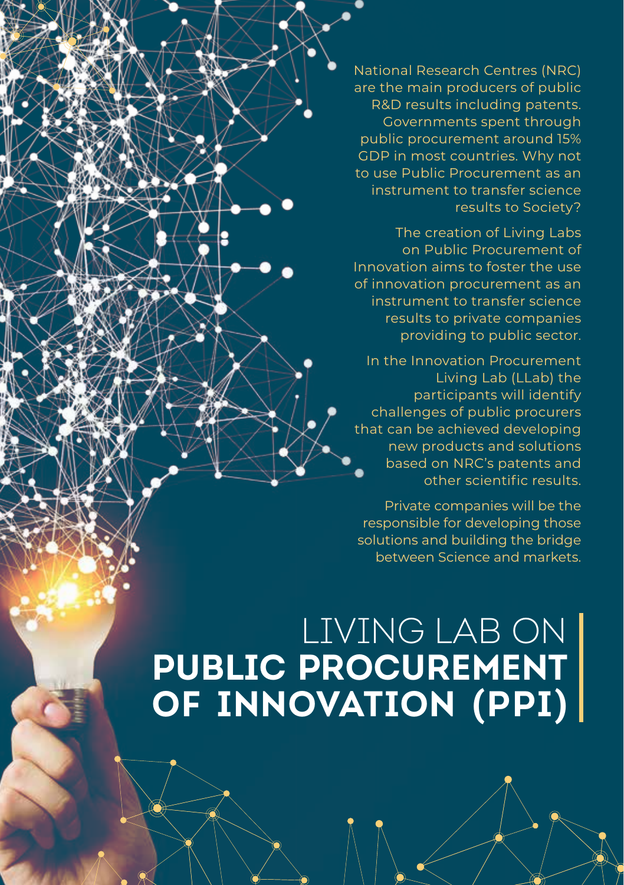National Research Centres (NRC) are the main producers of public R&D results including patents. Governments spent through public procurement around 15% GDP in most countries. Why not to use Public Procurement as an instrument to transfer science results to Society?

 The creation of Living Labs on Public Procurement of Innovation aims to foster the use of innovation procurement as an instrument to transfer science results to private companies providing to public sector.

In the Innovation Procurement Living Lab (LLab) the participants will identify challenges of public procurers that can be achieved developing new products and solutions based on NRC's patents and other scientific results.

Private companies will be the responsible for developing those solutions and building the bridge between Science and markets.

# LIVING LAB ON **PUBLIC PROCUREMENT OF INNOVATION (PPI)**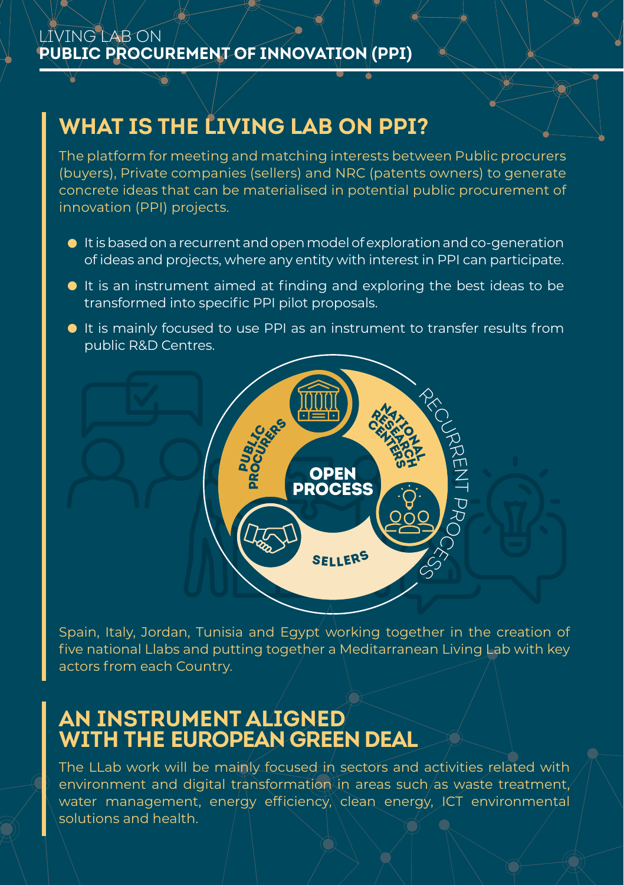#### LIVING LAB ON **PUBLIC PROCUREMENT OF INNOVATION (PPI)**

# **WHAT IS THE LIVING LAB ON PPI?**

The platform for meeting and matching interests between Public procurers (buyers), Private companies (sellers) and NRC (patents owners) to generate concrete ideas that can be materialised in potential public procurement of innovation (PPI) projects.

- $\bullet$  It is based on a recurrent and open model of exploration and co-generation of ideas and projects, where any entity with interest in PPI can participate.
- $\bullet$  It is an instrument aimed at finding and exploring the best ideas to be transformed into specific PPI pilot proposals.
- <sup>a</sup> It is mainly focused to use PPI as an instrument to transfer results from public R&D Centres.



Spain, Italy, Jordan, Tunisia and Egypt working together in the creation of five national Llabs and putting together a Meditarranean Living Lab with key actors from each Country.

### **AN INSTRUMENT ALIGNED WITH THE EUROPEAN GREEN DEAL**

The LLab work will be mainly focused in sectors and activities related with environment and digital transformation in areas such as waste treatment, water management, energy efficiency, clean energy, ICT environmental solutions and health.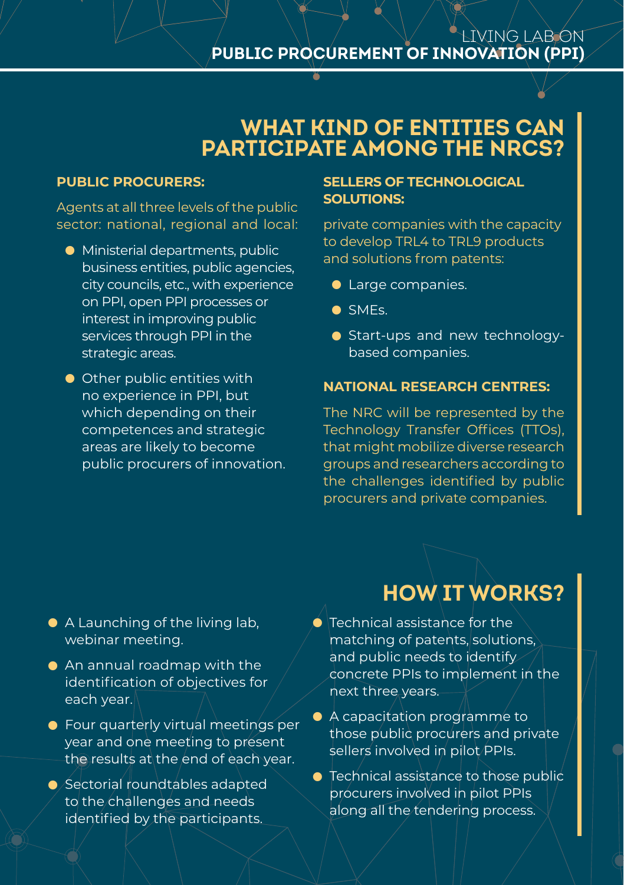#### LIVING LAB ON **PUBLIC PROCUREMENT OF INNOVATION (PPI)**

### **WHAT KIND OF ENTITIES CAN PARTICIPATE AMONG THE NRCS?**

#### **PUBLIC PROCURERS:**

Agents at all three levels of the public sector: national, regional and local:

- **•** Ministerial departments, public business entities, public agencies, city councils, etc., with experience on PPI, open PPI processes or interest in improving public services through PPI in the strategic areas.
- **•** Other public entities with no experience in PPI, but which depending on their competences and strategic areas are likely to become public procurers of innovation.

#### **SELLERS OF TECHNOLOGICAL SOLUTIONS:**

private companies with the capacity to develop TRL4 to TRL9 products and solutions from patents:

- Large companies.
- <sup>a</sup> SMEs.
- Start-ups and new technologybased companies.

#### **NATIONAL RESEARCH CENTRES:**

The NRC will be represented by the Technology Transfer Offices (TTOs), that might mobilize diverse research groups and researchers according to the challenges identified by public procurers and private companies.

- $\bullet$  A Launching of the living lab, webinar meeting.
- **•** An annual roadmap with the identification of objectives for each year.
- **Four quarterly virtual meetings per** year and one meeting to present the results at the end of each year.
- <sup>a</sup> Sectorial roundtables adapted to the challenges and needs identified by the participants.

# **HOW IT WORKS?**

- $\bullet$  Technical assistance for the matching of patents, solutions, and public needs to identify concrete PPIs to implement in the next three years.
- A capacitation programme to those public procurers and private sellers involved in pilot PPIs.
- **Technical assistance to those public** procurers involved in pilot PPIs along all the tendering process.